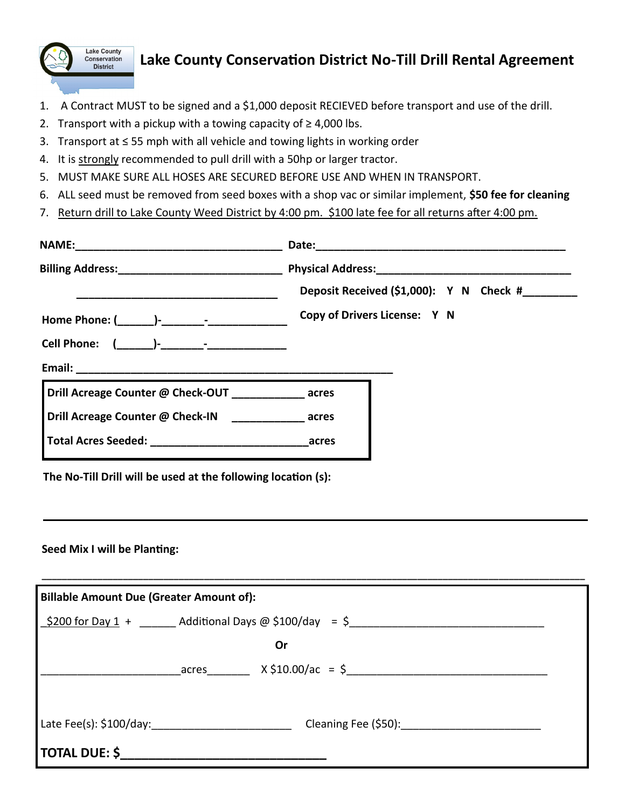

## **Lake County Conservation District No-Till Drill Rental Agreement**

- 1. A Contract MUST to be signed and a \$1,000 deposit RECIEVED before transport and use of the drill.
- 2. Transport with a pickup with a towing capacity of  $\geq 4,000$  lbs.
- 3. Transport at ≤ 55 mph with all vehicle and towing lights in working order
- 4. It is strongly recommended to pull drill with a 50hp or larger tractor.
- 5. MUST MAKE SURE ALL HOSES ARE SECURED BEFORE USE AND WHEN IN TRANSPORT.
- 6. ALL seed must be removed from seed boxes with a shop vac or similar implement, **\$50 fee for cleaning**
- 7. Return drill to Lake County Weed District by 4:00 pm. \$100 late fee for all returns after 4:00 pm.

|                                                       | Deposit Received (\$1,000): Y N Check #______<br>Copy of Drivers License: Y N |
|-------------------------------------------------------|-------------------------------------------------------------------------------|
| Drill Acreage Counter @ Check-OUT ____________ acres  |                                                                               |
| Drill Acreage Counter @ Check-IN ______________ acres |                                                                               |
|                                                       |                                                                               |

**The No-Till Drill will be used at the following location (s):**

#### **Seed Mix I will be Planting:**

| <b>Billable Amount Due (Greater Amount of):</b> |  |                                                  |  |
|-------------------------------------------------|--|--------------------------------------------------|--|
|                                                 |  |                                                  |  |
|                                                 |  | <b>Or</b>                                        |  |
|                                                 |  | $\text{acres}$ $X \frac{10.00}{a} = \frac{5}{2}$ |  |
|                                                 |  |                                                  |  |
|                                                 |  |                                                  |  |
| TOTAL DUE: \$______________                     |  |                                                  |  |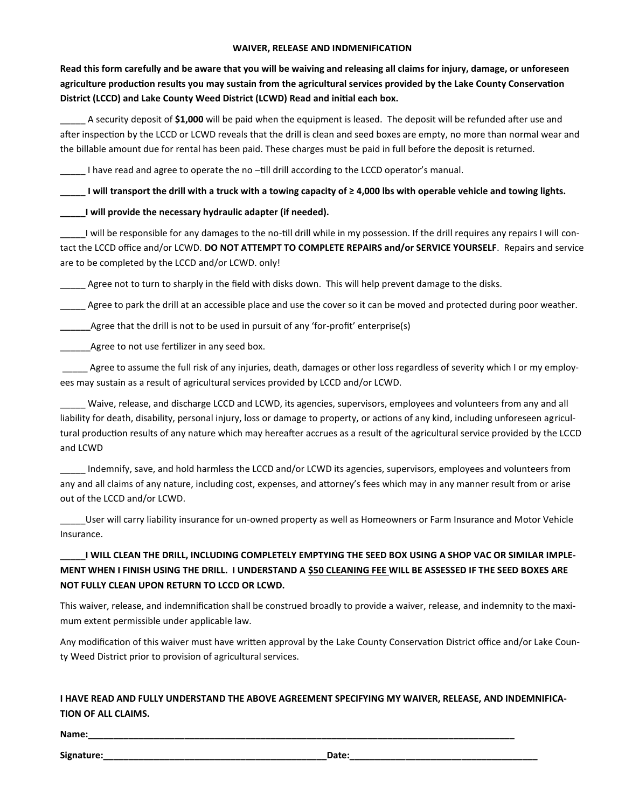#### **WAIVER, RELEASE AND INDMENIFICATION**

**Read this form carefully and be aware that you will be waiving and releasing all claims for injury, damage, or unforeseen agriculture production results you may sustain from the agricultural services provided by the Lake County Conservation District (LCCD) and Lake County Weed District (LCWD) Read and initial each box.**

\_\_\_\_\_ A security deposit of **\$1,000** will be paid when the equipment is leased. The deposit will be refunded after use and after inspection by the LCCD or LCWD reveals that the drill is clean and seed boxes are empty, no more than normal wear and the billable amount due for rental has been paid. These charges must be paid in full before the deposit is returned.

\_\_\_\_\_ I have read and agree to operate the no –till drill according to the LCCD operator's manual.

\_\_\_\_\_ **I will transport the drill with a truck with a towing capacity of ≥ 4,000 lbs with operable vehicle and towing lights.** 

#### **\_\_\_\_\_I will provide the necessary hydraulic adapter (if needed).**

I will be responsible for any damages to the no-till drill while in my possession. If the drill requires any repairs I will contact the LCCD office and/or LCWD. **DO NOT ATTEMPT TO COMPLETE REPAIRS and/or SERVICE YOURSELF**. Repairs and service are to be completed by the LCCD and/or LCWD. only!

\_\_\_\_\_ Agree not to turn to sharply in the field with disks down. This will help prevent damage to the disks.

\_\_\_\_\_ Agree to park the drill at an accessible place and use the cover so it can be moved and protected during poor weather.

**\_\_\_\_\_\_**Agree that the drill is not to be used in pursuit of any 'for-profit' enterprise(s)

Agree to not use fertilizer in any seed box.

\_\_\_\_\_ Agree to assume the full risk of any injuries, death, damages or other loss regardless of severity which I or my employees may sustain as a result of agricultural services provided by LCCD and/or LCWD.

\_\_\_\_\_ Waive, release, and discharge LCCD and LCWD, its agencies, supervisors, employees and volunteers from any and all liability for death, disability, personal injury, loss or damage to property, or actions of any kind, including unforeseen agricultural production results of any nature which may hereafter accrues as a result of the agricultural service provided by the LCCD and LCWD

\_\_\_\_\_ Indemnify, save, and hold harmless the LCCD and/or LCWD its agencies, supervisors, employees and volunteers from any and all claims of any nature, including cost, expenses, and attorney's fees which may in any manner result from or arise out of the LCCD and/or LCWD.

\_\_\_\_\_User will carry liability insurance for un-owned property as well as Homeowners or Farm Insurance and Motor Vehicle Insurance.

### \_\_\_\_\_**I WILL CLEAN THE DRILL, INCLUDING COMPLETELY EMPTYING THE SEED BOX USING A SHOP VAC OR SIMILAR IMPLE-MENT WHEN I FINISH USING THE DRILL. I UNDERSTAND A \$50 CLEANING FEE WILL BE ASSESSED IF THE SEED BOXES ARE NOT FULLY CLEAN UPON RETURN TO LCCD OR LCWD.**

This waiver, release, and indemnification shall be construed broadly to provide a waiver, release, and indemnity to the maximum extent permissible under applicable law.

Any modification of this waiver must have written approval by the Lake County Conservation District office and/or Lake County Weed District prior to provision of agricultural services.

### **I HAVE READ AND FULLY UNDERSTAND THE ABOVE AGREEMENT SPECIFYING MY WAIVER, RELEASE, AND INDEMNIFICA-TION OF ALL CLAIMS.**

**Name:\_\_\_\_\_\_\_\_\_\_\_\_\_\_\_\_\_\_\_\_\_\_\_\_\_\_\_\_\_\_\_\_\_\_\_\_\_\_\_\_\_\_\_\_\_\_\_\_\_\_\_\_\_\_\_\_\_\_\_\_\_\_\_\_\_\_\_\_\_\_\_\_\_\_\_\_\_\_\_\_\_\_\_\_**

Signature: the contract of the contract of the contract of the contract of the contract of the contract of the contract of the contract of the contract of the contract of the contract of the contract of the contract of the